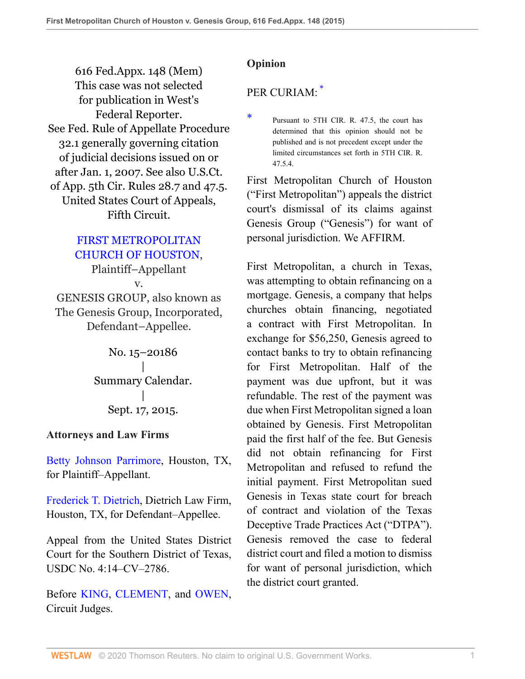616 Fed.Appx. 148 (Mem) This case was not selected for publication in West's Federal Reporter. See Fed. Rule of Appellate Procedure 32.1 generally governing citation of judicial decisions issued on or after Jan. 1, 2007. See also U.S.Ct. of App. 5th Cir. Rules 28.7 and 47.5. United States Court of Appeals, Fifth Circuit.

### [FIRST METROPOLITAN](http://www.westlaw.com/Search/Results.html?query=advanced%3a+OAID(5020881597)&saveJuris=False&contentType=BUSINESS-INVESTIGATOR&startIndex=1&contextData=(sc.Default)&categoryPageUrl=Home%2fCompanyInvestigator&originationContext=document&vr=3.0&rs=cblt1.0&transitionType=DocumentItem) [CHURCH OF HOUSTON](http://www.westlaw.com/Search/Results.html?query=advanced%3a+OAID(5020881597)&saveJuris=False&contentType=BUSINESS-INVESTIGATOR&startIndex=1&contextData=(sc.Default)&categoryPageUrl=Home%2fCompanyInvestigator&originationContext=document&vr=3.0&rs=cblt1.0&transitionType=DocumentItem),

Plaintiff–Appellant v. GENESIS GROUP, also known as The Genesis Group, Incorporated, Defendant–Appellee.

> No. 15–20186 | Summary Calendar. | Sept. 17, 2015.

#### **Attorneys and Law Firms**

[Betty Johnson Parrimore,](http://www.westlaw.com/Link/Document/FullText?findType=h&pubNum=176284&cite=0486973201&originatingDoc=I59c4edb75e0a11e5a795ac035416da91&refType=RQ&originationContext=document&vr=3.0&rs=cblt1.0&transitionType=DocumentItem&contextData=(sc.UserEnteredCitation)) Houston, TX, for Plaintiff–Appellant.

[Frederick T. Dietrich,](http://www.westlaw.com/Link/Document/FullText?findType=h&pubNum=176284&cite=0302315701&originatingDoc=I59c4edb75e0a11e5a795ac035416da91&refType=RQ&originationContext=document&vr=3.0&rs=cblt1.0&transitionType=DocumentItem&contextData=(sc.UserEnteredCitation)) Dietrich Law Firm, Houston, TX, for Defendant–Appellee.

Appeal from the United States District Court for the Southern District of Texas, USDC No. 4:14–CV–2786.

Before [KING,](http://www.westlaw.com/Link/Document/FullText?findType=h&pubNum=176284&cite=0209676001&originatingDoc=I59c4edb75e0a11e5a795ac035416da91&refType=RQ&originationContext=document&vr=3.0&rs=cblt1.0&transitionType=DocumentItem&contextData=(sc.UserEnteredCitation)) [CLEMENT](http://www.westlaw.com/Link/Document/FullText?findType=h&pubNum=176284&cite=0189605101&originatingDoc=I59c4edb75e0a11e5a795ac035416da91&refType=RQ&originationContext=document&vr=3.0&rs=cblt1.0&transitionType=DocumentItem&contextData=(sc.UserEnteredCitation)), and [OWEN,](http://www.westlaw.com/Link/Document/FullText?findType=h&pubNum=176284&cite=0101497701&originatingDoc=I59c4edb75e0a11e5a795ac035416da91&refType=RQ&originationContext=document&vr=3.0&rs=cblt1.0&transitionType=DocumentItem&contextData=(sc.UserEnteredCitation)) Circuit Judges.

# **Opinion**

# <span id="page-0-1"></span>PER CURIAM<sup>[\\*](#page-0-0)</sup>

First Metropolitan Church of Houston ("First Metropolitan") appeals the district court's dismissal of its claims against Genesis Group ("Genesis") for want of personal jurisdiction. We AFFIRM.

First Metropolitan, a church in Texas, was attempting to obtain refinancing on a mortgage. Genesis, a company that helps churches obtain financing, negotiated a contract with First Metropolitan. In exchange for \$56,250, Genesis agreed to contact banks to try to obtain refinancing for First Metropolitan. Half of the payment was due upfront, but it was refundable. The rest of the payment was due when First Metropolitan signed a loan obtained by Genesis. First Metropolitan paid the first half of the fee. But Genesis did not obtain refinancing for First Metropolitan and refused to refund the initial payment. First Metropolitan sued Genesis in Texas state court for breach of contract and violation of the Texas Deceptive Trade Practices Act ("DTPA"). Genesis removed the case to federal district court and filed a motion to dismiss for want of personal jurisdiction, which the district court granted.

<span id="page-0-0"></span>[<sup>\\*</sup>](#page-0-1) Pursuant to 5TH CIR. R. 47.5, the court has determined that this opinion should not be published and is not precedent except under the limited circumstances set forth in 5TH CIR. R. 47.5.4.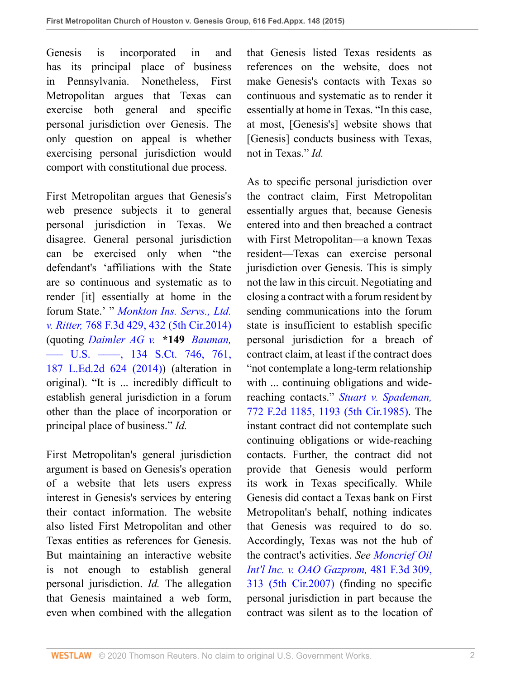Genesis is incorporated in and has its principal place of business in Pennsylvania. Nonetheless, First Metropolitan argues that Texas can exercise both general and specific personal jurisdiction over Genesis. The only question on appeal is whether exercising personal jurisdiction would comport with constitutional due process.

First Metropolitan argues that Genesis's web presence subjects it to general personal jurisdiction in Texas. We disagree. General personal jurisdiction can be exercised only when "the defendant's 'affiliations with the State are so continuous and systematic as to render [it] essentially at home in the forum State.' " *[Monkton Ins. Servs., Ltd.](http://www.westlaw.com/Link/Document/FullText?findType=Y&serNum=2034393468&pubNum=0000506&originatingDoc=I59c4edb75e0a11e5a795ac035416da91&refType=RP&fi=co_pp_sp_506_432&originationContext=document&vr=3.0&rs=cblt1.0&transitionType=DocumentItem&contextData=(sc.UserEnteredCitation)#co_pp_sp_506_432) v. Ritter,* [768 F.3d 429, 432 \(5th Cir.2014\)](http://www.westlaw.com/Link/Document/FullText?findType=Y&serNum=2034393468&pubNum=0000506&originatingDoc=I59c4edb75e0a11e5a795ac035416da91&refType=RP&fi=co_pp_sp_506_432&originationContext=document&vr=3.0&rs=cblt1.0&transitionType=DocumentItem&contextData=(sc.UserEnteredCitation)#co_pp_sp_506_432) (quoting *[Daimler AG v.](http://www.westlaw.com/Link/Document/FullText?findType=Y&serNum=2032535459&pubNum=0000708&originatingDoc=I59c4edb75e0a11e5a795ac035416da91&refType=RP&fi=co_pp_sp_708_761&originationContext=document&vr=3.0&rs=cblt1.0&transitionType=DocumentItem&contextData=(sc.UserEnteredCitation)#co_pp_sp_708_761)* **\*149** *Bauman,* [––– U.S. ––––, 134 S.Ct. 746, 761,](http://www.westlaw.com/Link/Document/FullText?findType=Y&serNum=2032535459&pubNum=0000708&originatingDoc=I59c4edb75e0a11e5a795ac035416da91&refType=RP&fi=co_pp_sp_708_761&originationContext=document&vr=3.0&rs=cblt1.0&transitionType=DocumentItem&contextData=(sc.UserEnteredCitation)#co_pp_sp_708_761) [187 L.Ed.2d 624 \(2014\)](http://www.westlaw.com/Link/Document/FullText?findType=Y&serNum=2032535459&pubNum=0000708&originatingDoc=I59c4edb75e0a11e5a795ac035416da91&refType=RP&fi=co_pp_sp_708_761&originationContext=document&vr=3.0&rs=cblt1.0&transitionType=DocumentItem&contextData=(sc.UserEnteredCitation)#co_pp_sp_708_761)) (alteration in original). "It is ... incredibly difficult to establish general jurisdiction in a forum other than the place of incorporation or principal place of business." *Id.*

First Metropolitan's general jurisdiction argument is based on Genesis's operation of a website that lets users express interest in Genesis's services by entering their contact information. The website also listed First Metropolitan and other Texas entities as references for Genesis. But maintaining an interactive website is not enough to establish general personal jurisdiction. *Id.* The allegation that Genesis maintained a web form, even when combined with the allegation that Genesis listed Texas residents as references on the website, does not make Genesis's contacts with Texas so continuous and systematic as to render it essentially at home in Texas. "In this case, at most, [Genesis's] website shows that [Genesis] conducts business with Texas, not in Texas." *Id.*

As to specific personal jurisdiction over the contract claim, First Metropolitan essentially argues that, because Genesis entered into and then breached a contract with First Metropolitan—a known Texas resident—Texas can exercise personal jurisdiction over Genesis. This is simply not the law in this circuit. Negotiating and closing a contract with a forum resident by sending communications into the forum state is insufficient to establish specific personal jurisdiction for a breach of contract claim, at least if the contract does "not contemplate a long-term relationship with ... continuing obligations and widereaching contacts." *[Stuart v. Spademan,](http://www.westlaw.com/Link/Document/FullText?findType=Y&serNum=1985146590&pubNum=0000350&originatingDoc=I59c4edb75e0a11e5a795ac035416da91&refType=RP&fi=co_pp_sp_350_1193&originationContext=document&vr=3.0&rs=cblt1.0&transitionType=DocumentItem&contextData=(sc.UserEnteredCitation)#co_pp_sp_350_1193)* [772 F.2d 1185, 1193 \(5th Cir.1985\)](http://www.westlaw.com/Link/Document/FullText?findType=Y&serNum=1985146590&pubNum=0000350&originatingDoc=I59c4edb75e0a11e5a795ac035416da91&refType=RP&fi=co_pp_sp_350_1193&originationContext=document&vr=3.0&rs=cblt1.0&transitionType=DocumentItem&contextData=(sc.UserEnteredCitation)#co_pp_sp_350_1193). The instant contract did not contemplate such continuing obligations or wide-reaching contacts. Further, the contract did not provide that Genesis would perform its work in Texas specifically. While Genesis did contact a Texas bank on First Metropolitan's behalf, nothing indicates that Genesis was required to do so. Accordingly, Texas was not the hub of the contract's activities. *See [Moncrief Oil](http://www.westlaw.com/Link/Document/FullText?findType=Y&serNum=2011655819&pubNum=0000506&originatingDoc=I59c4edb75e0a11e5a795ac035416da91&refType=RP&fi=co_pp_sp_506_313&originationContext=document&vr=3.0&rs=cblt1.0&transitionType=DocumentItem&contextData=(sc.UserEnteredCitation)#co_pp_sp_506_313) [Int'l Inc. v. OAO Gazprom,](http://www.westlaw.com/Link/Document/FullText?findType=Y&serNum=2011655819&pubNum=0000506&originatingDoc=I59c4edb75e0a11e5a795ac035416da91&refType=RP&fi=co_pp_sp_506_313&originationContext=document&vr=3.0&rs=cblt1.0&transitionType=DocumentItem&contextData=(sc.UserEnteredCitation)#co_pp_sp_506_313)* 481 F.3d 309, [313 \(5th Cir.2007\)](http://www.westlaw.com/Link/Document/FullText?findType=Y&serNum=2011655819&pubNum=0000506&originatingDoc=I59c4edb75e0a11e5a795ac035416da91&refType=RP&fi=co_pp_sp_506_313&originationContext=document&vr=3.0&rs=cblt1.0&transitionType=DocumentItem&contextData=(sc.UserEnteredCitation)#co_pp_sp_506_313) (finding no specific personal jurisdiction in part because the contract was silent as to the location of